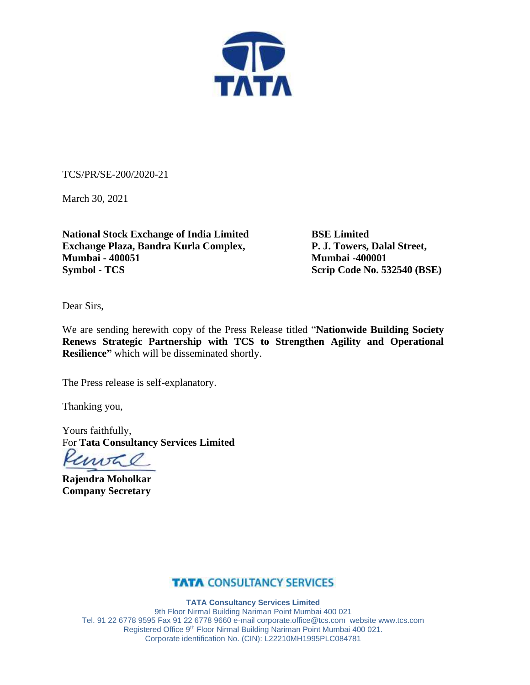

TCS/PR/SE-200/2020-21

March 30, 2021

**National Stock Exchange of India Limited BSE Limited Exchange Plaza, Bandra Kurla Complex, Mumbai - 400051 Mumbai -400001 Symbol - TCS** Scrip Code No. 532540 (BSE)

Dear Sirs,

We are sending herewith copy of the Press Release titled "**Nationwide Building Society Renews Strategic Partnership with TCS to Strengthen Agility and Operational Resilience"** which will be disseminated shortly.

The Press release is self-explanatory.

Thanking you,

Yours faithfully, For **Tata Consultancy Services Limited**

woh

**Rajendra Moholkar Company Secretary**

### **TATA CONSULTANCY SERVICES**

**TATA Consultancy Services Limited** 9th Floor Nirmal Building Nariman Point Mumbai 400 021 Tel. 91 22 6778 9595 Fax 91 22 6778 9660 e-mail [corporate.office@tcs.com](mailto:corporate.office@tcs.com) website www.tcs.com Registered Office 9<sup>th</sup> Floor Nirmal Building Nariman Point Mumbai 400 021. Corporate identification No. (CIN): L22210MH1995PLC084781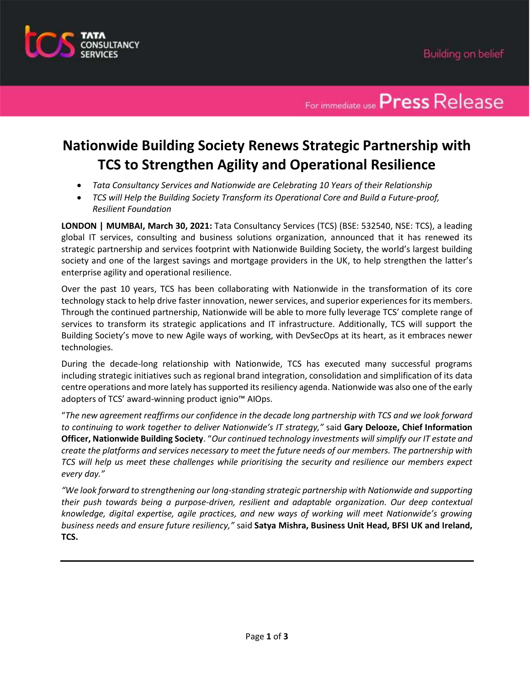

### For immediate use **Press** Release

### **Nationwide Building Society Renews Strategic Partnership with TCS to Strengthen Agility and Operational Resilience**

- *Tata Consultancy Services and Nationwide are Celebrating 10 Years of their Relationship*
- *TCS will Help the Building Society Transform its Operational Core and Build a Future-proof, Resilient Foundation*

**LONDON | MUMBAI, March 30, 2021:** Tata Consultancy Services (TCS) (BSE: 532540, NSE: TCS), a leading global IT services, consulting and business solutions organization, announced that it has renewed its strategic partnership and services footprint with Nationwide Building Society, the world's largest building society and one of the largest savings and mortgage providers in the UK, to help strengthen the latter's enterprise agility and operational resilience.

Over the past 10 years, TCS has been collaborating with Nationwide in the transformation of its core technology stack to help drive faster innovation, newer services, and superior experiences for its members. Through the continued partnership, Nationwide will be able to more fully leverage TCS' complete range of services to transform its strategic applications and IT infrastructure. Additionally, TCS will support the Building Society's move to new Agile ways of working, with DevSecOps at its heart, as it embraces newer technologies.

During the decade-long relationship with Nationwide, TCS has executed many successful programs including strategic initiatives such as regional brand integration, consolidation and simplification of its data centre operations and more lately has supported its resiliency agenda. Nationwide was also one of the early adopters of TCS' award-winning product ignio™ AIOps.

"*The new agreement reaffirms our confidence in the decade long partnership with TCS and we look forward to continuing to work together to deliver Nationwide's IT strategy,"* said **Gary Delooze, Chief Information Officer, Nationwide Building Society**. "*Our continued technology investments willsimplify our IT estate and create the platforms and services necessary to meet the future needs of our members. The partnership with TCS will help us meet these challenges while prioritising the security and resilience our members expect every day."*

*"We look forward to strengthening our long-standing strategic partnership with Nationwide and supporting their push towards being a purpose-driven, resilient and adaptable organization. Our deep contextual knowledge, digital expertise, agile practices, and new ways of working will meet Nationwide's growing business needs and ensure future resiliency,"* said **Satya Mishra, Business Unit Head, BFSI UK and Ireland, TCS.**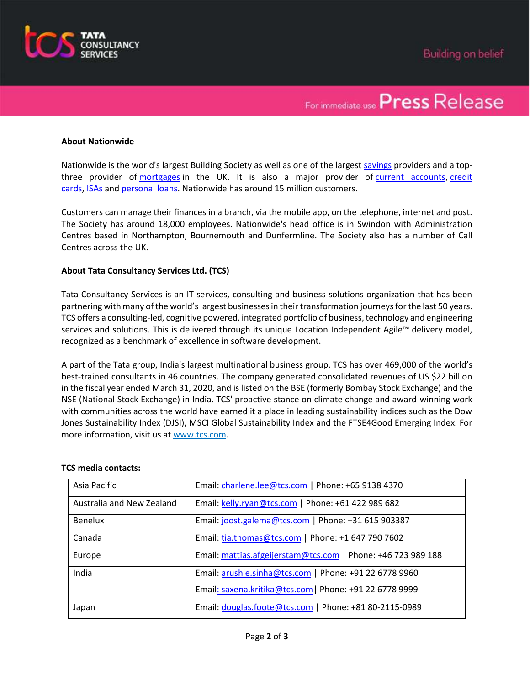

## For immediate use **Press** Release

#### **About Nationwide**

Nationwide is the world's largest Building Society as well as one of the largest [savings](https://www.nationwide.co.uk/products/savings/our-savings-accounts/all-savings-accounts) providers and a topthree provider of [mortgages](https://www.nationwide.co.uk/products/mortgages/our-mortgages/who-we-can-help) in the UK. It is also a major provider of [current accounts,](https://www.nationwide.co.uk/products/current-accounts/our-current-accounts/overview) [credit](https://www.nationwide.co.uk/products/credit-cards/our-credit-cards/our-cards)  [cards,](https://www.nationwide.co.uk/products/credit-cards/our-credit-cards/our-cards) [ISAs](https://www.nationwide.co.uk/products/isas/all-isa-accounts) and [personal loans.](https://www.nationwide.co.uk/products/loans/personal-loans/features-and-benefits) Nationwide has around 15 million customers.

Customers can manage their finances in a branch, via the mobile app, on the telephone, internet and post. The Society has around 18,000 employees. Nationwide's head office is in Swindon with Administration Centres based in Northampton, Bournemouth and Dunfermline. The Society also has a number of Call Centres across the UK.

#### **About Tata Consultancy Services Ltd. (TCS)**

Tata Consultancy Services is an IT services, consulting and business solutions organization that has been partnering with many of the world's largest businesses in their transformation journeys for the last 50 years. TCS offers a consulting-led, cognitive powered, integrated portfolio of business, technology and engineering services and solutions. This is delivered through its unique Location Independent Agile™ delivery model, recognized as a benchmark of excellence in software development.

A part of the Tata group, India's largest multinational business group, TCS has over 469,000 of the world's best-trained consultants in 46 countries. The company generated consolidated revenues of US \$22 billion in the fiscal year ended March 31, 2020, and is listed on the BSE (formerly Bombay Stock Exchange) and the NSE (National Stock Exchange) in India. TCS' proactive stance on climate change and award-winning work with communities across the world have earned it a place in leading sustainability indices such as the Dow Jones Sustainability Index (DJSI), MSCI Global Sustainability Index and the FTSE4Good Emerging Index. For more information, visit us at [www.tcs.com.](http://www.tcs.com/)

#### **TCS media contacts:**

| Asia Pacific              | Email: charlene.lee@tcs.com   Phone: +65 9138 4370           |
|---------------------------|--------------------------------------------------------------|
| Australia and New Zealand | Email: kelly.ryan@tcs.com   Phone: +61 422 989 682           |
| <b>Benelux</b>            | Email: joost.galema@tcs.com   Phone: +31 615 903387          |
| Canada                    | Email: tia.thomas@tcs.com   Phone: +1 647 790 7602           |
| Europe                    | Email: mattias.afgeijerstam@tcs.com   Phone: +46 723 989 188 |
| India                     | Email: arushie.sinha@tcs.com   Phone: +91 22 6778 9960       |
|                           | Email: saxena.kritika@tcs.com   Phone: +91 22 6778 9999      |
| Japan                     | Email: douglas.foote@tcs.com   Phone: +81 80-2115-0989       |